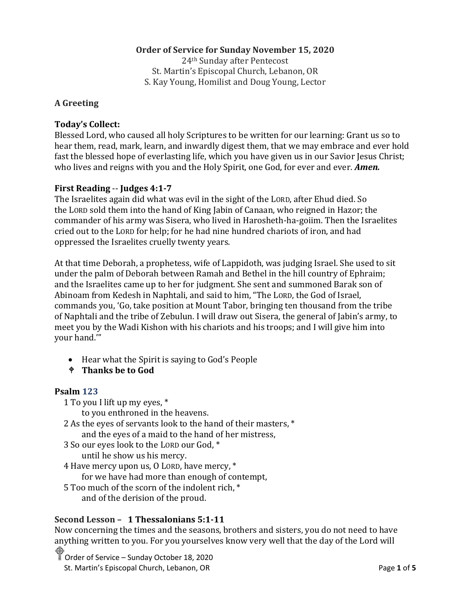## **Order of Service for Sunday November 15, 2020**

24th Sunday after Pentecost St. Martin's Episcopal Church, Lebanon, OR S. Kay Young, Homilist and Doug Young, Lector

## **A Greeting**

### **Today's Collect:**

Blessed Lord, who caused all holy Scriptures to be written for our learning: Grant us so to hear them, read, mark, learn, and inwardly digest them, that we may embrace and ever hold fast the blessed hope of everlasting life, which you have given us in our Savior Jesus Christ; who lives and reigns with you and the Holy Spirit, one God, for ever and ever. *Amen.*

#### **First Reading** -- **Judges 4:1-7**

The Israelites again did what was evil in the sight of the LORD, after Ehud died. So the LORD sold them into the hand of King Jabin of Canaan, who reigned in Hazor; the commander of his army was Sisera, who lived in Harosheth-ha-goiim. Then the Israelites cried out to the LORD for help; for he had nine hundred chariots of iron, and had oppressed the Israelites cruelly twenty years.

At that time Deborah, a prophetess, wife of Lappidoth, was judging Israel. She used to sit under the palm of Deborah between Ramah and Bethel in the hill country of Ephraim; and the Israelites came up to her for judgment. She sent and summoned Barak son of Abinoam from Kedesh in Naphtali, and said to him, "The LORD, the God of Israel, commands you, 'Go, take position at Mount Tabor, bringing ten thousand from the tribe of Naphtali and the tribe of Zebulun. I will draw out Sisera, the general of Jabin's army, to meet you by the Wadi Kishon with his chariots and his troops; and I will give him into your hand.'"

- Hear what the Spirit is saying to God's People
- **Thanks be to God**

### **Psalm 123**

1 To you I lift up my eyes, \*

to you enthroned in the heavens.

- 2 As the eyes of servants look to the hand of their masters, \* and the eyes of a maid to the hand of her mistress,
- 3 So our eyes look to the LORD our God, \* until he show us his mercy.
- 4 Have mercy upon us, O LORD, have mercy, \*

for we have had more than enough of contempt,

5 Too much of the scorn of the indolent rich, \*

and of the derision of the proud.

### **Second Lesson – 1 Thessalonians 5:1-11**

Now concerning the times and the seasons, brothers and sisters, you do not need to have anything written to you. For you yourselves know very well that the day of the Lord will

Order of Service – Sunday October 18, 2020 St. Martin's Episcopal Church, Lebanon, OR **Page 1** of **5** and  $\overline{P}$  and  $\overline{P}$  and  $\overline{P}$  and  $\overline{P}$  and  $\overline{P}$  and  $\overline{P}$  and  $\overline{P}$  and  $\overline{P}$  and  $\overline{P}$  and  $\overline{P}$  and  $\overline{P}$  and  $\overline{P}$  and  $\over$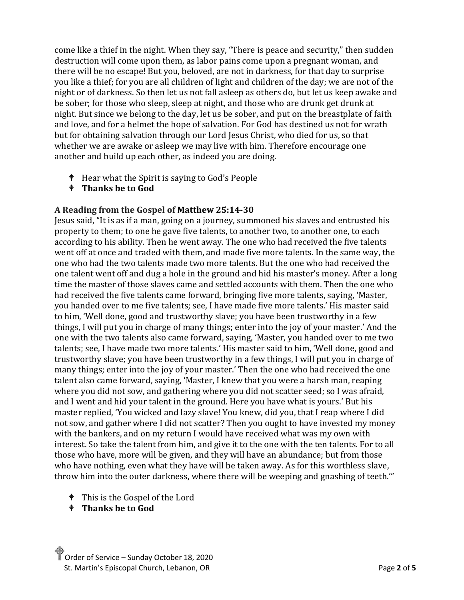come like a thief in the night. When they say, "There is peace and security," then sudden destruction will come upon them, as labor pains come upon a pregnant woman, and there will be no escape! But you, beloved, are not in darkness, for that day to surprise you like a thief; for you are all children of light and children of the day; we are not of the night or of darkness. So then let us not fall asleep as others do, but let us keep awake and be sober; for those who sleep, sleep at night, and those who are drunk get drunk at night. But since we belong to the day, let us be sober, and put on the breastplate of faith and love, and for a helmet the hope of salvation. For God has destined us not for wrath but for obtaining salvation through our Lord Jesus Christ, who died for us, so that whether we are awake or asleep we may live with him. Therefore encourage one another and build up each other, as indeed you are doing.

- $\bullet$  Hear what the Spirit is saying to God's People
- **Thanks be to God**

### **A Reading from the Gospel of Matthew 25:14-30**

Jesus said, "It is as if a man, going on a journey, summoned his slaves and entrusted his property to them; to one he gave five talents, to another two, to another one, to each according to his ability. Then he went away. The one who had received the five talents went off at once and traded with them, and made five more talents. In the same way, the one who had the two talents made two more talents. But the one who had received the one talent went off and dug a hole in the ground and hid his master's money. After a long time the master of those slaves came and settled accounts with them. Then the one who had received the five talents came forward, bringing five more talents, saying, 'Master, you handed over to me five talents; see, I have made five more talents.' His master said to him, 'Well done, good and trustworthy slave; you have been trustworthy in a few things, I will put you in charge of many things; enter into the joy of your master.' And the one with the two talents also came forward, saying, 'Master, you handed over to me two talents; see, I have made two more talents.' His master said to him, 'Well done, good and trustworthy slave; you have been trustworthy in a few things, I will put you in charge of many things; enter into the joy of your master.' Then the one who had received the one talent also came forward, saying, 'Master, I knew that you were a harsh man, reaping where you did not sow, and gathering where you did not scatter seed; so I was afraid, and I went and hid your talent in the ground. Here you have what is yours.' But his master replied, 'You wicked and lazy slave! You knew, did you, that I reap where I did not sow, and gather where I did not scatter? Then you ought to have invested my money with the bankers, and on my return I would have received what was my own with interest. So take the talent from him, and give it to the one with the ten talents. For to all those who have, more will be given, and they will have an abundance; but from those who have nothing, even what they have will be taken away. As for this worthless slave, throw him into the outer darkness, where there will be weeping and gnashing of teeth.'"

- This is the Gospel of the Lord
- **Thanks be to God**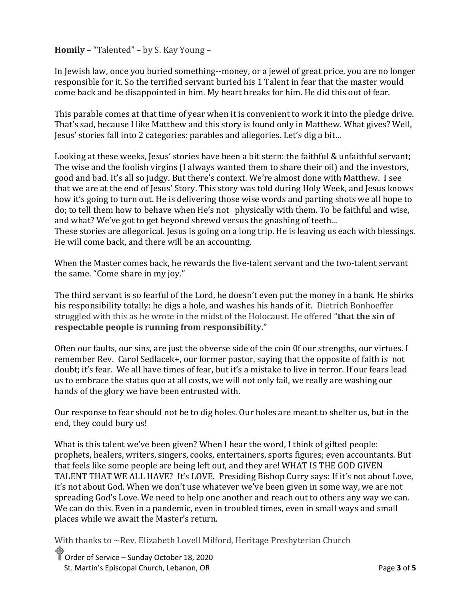**Homily** – "Talented" – by S. Kay Young –

In Jewish law, once you buried something--money, or a jewel of great price, you are no longer responsible for it. So the terrified servant buried his 1 Talent in fear that the master would come back and be disappointed in him. My heart breaks for him. He did this out of fear.

This parable comes at that time of year when it is convenient to work it into the pledge drive. That's sad, because I like Matthew and this story is found only in Matthew. What gives? Well, Jesus' stories fall into 2 categories: parables and allegories. Let's dig a bit…

Looking at these weeks, Jesus' stories have been a bit stern: the faithful & unfaithful servant; The wise and the foolish virgins (I always wanted them to share their oil) and the investors, good and bad. It's all so judgy. But there's context. We're almost done with Matthew. I see that we are at the end of Jesus' Story. This story was told during Holy Week, and Jesus knows how it's going to turn out. He is delivering those wise words and parting shots we all hope to do; to tell them how to behave when He's not physically with them. To be faithful and wise, and what? We've got to get beyond shrewd versus the gnashing of teeth...

These stories are allegorical. Jesus is going on a long trip. He is leaving us each with blessings. He will come back, and there will be an accounting.

When the Master comes back, he rewards the five-talent servant and the two-talent servant the same. "Come share in my joy."

The third servant is so fearful of the Lord, he doesn't even put the money in a bank. He shirks his responsibility totally: he digs a hole, and washes his hands of it. Dietrich Bonhoeffer struggled with this as he wrote in the midst of the Holocaust. He offered "**that the sin of respectable people is running from responsibility."**

Often our faults, our sins, are just the obverse side of the coin 0f our strengths, our virtues. I remember Rev. Carol Sedlacek+, our former pastor, saying that the opposite of faith is not doubt; it's fear. We all have times of fear, but it's a mistake to live in terror. If our fears lead us to embrace the status quo at all costs, we will not only fail, we really are washing our hands of the glory we have been entrusted with.

Our response to fear should not be to dig holes. Our holes are meant to shelter us, but in the end, they could bury us!

What is this talent we've been given? When I hear the word, I think of gifted people: prophets, healers, writers, singers, cooks, entertainers, sports figures; even accountants. But that feels like some people are being left out, and they are! WHAT IS THE GOD GIVEN TALENT THAT WE ALL HAVE? It's LOVE. Presiding Bishop Curry says: If it's not about Love, it's not about God. When we don't use whatever we've been given in some way, we are not spreading God's Love. We need to help one another and reach out to others any way we can. We can do this. Even in a pandemic, even in troubled times, even in small ways and small places while we await the Master's return.

With thanks to ~Rev. Elizabeth Lovell Milford, Heritage Presbyterian Church

Order of Service – Sunday October 18, 2020 St. Martin's Episcopal Church, Lebanon, OR **Page 3** of 5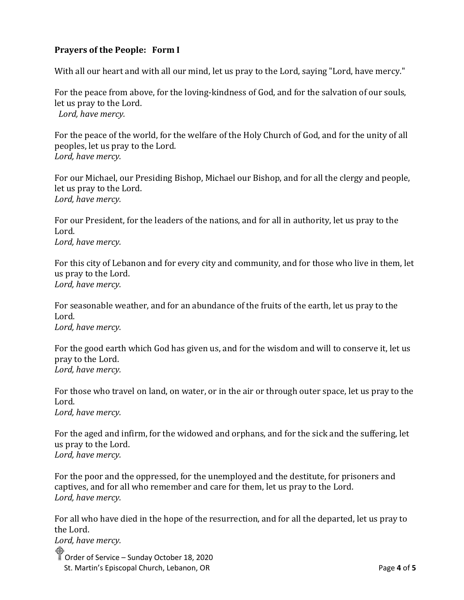# **Prayers of the People: Form I**

With all our heart and with all our mind, let us pray to the Lord, saying "Lord, have mercy."

For the peace from above, for the loving-kindness of God, and for the salvation of our souls, let us pray to the Lord. *Lord, have mercy.*

For the peace of the world, for the welfare of the Holy Church of God, and for the unity of all peoples, let us pray to the Lord. *Lord, have mercy.*

For our Michael, our Presiding Bishop, Michael our Bishop, and for all the clergy and people, let us pray to the Lord. *Lord, have mercy.*

For our President, for the leaders of the nations, and for all in authority, let us pray to the Lord. *Lord, have mercy.*

For this city of Lebanon and for every city and community, and for those who live in them, let us pray to the Lord. *Lord, have mercy.*

For seasonable weather, and for an abundance of the fruits of the earth, let us pray to the Lord.

*Lord, have mercy.*

For the good earth which God has given us, and for the wisdom and will to conserve it, let us pray to the Lord. *Lord, have mercy.*

For those who travel on land, on water, or in the air or through outer space, let us pray to the Lord. *Lord, have mercy.*

For the aged and infirm, for the widowed and orphans, and for the sick and the suffering, let us pray to the Lord. *Lord, have mercy.*

For the poor and the oppressed, for the unemployed and the destitute, for prisoners and captives, and for all who remember and care for them, let us pray to the Lord. *Lord, have mercy.*

For all who have died in the hope of the resurrection, and for all the departed, let us pray to the Lord.

Order of Service – Sunday October 18, 2020 St. Martin's Episcopal Church, Lebanon, OR **Page 4** of 5 *Lord, have mercy.*